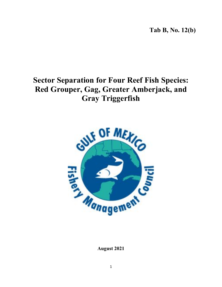**Tab B, No. 12(b)**

# **Sector Separation for Four Reef Fish Species: Red Grouper, Gag, Greater Amberjack, and Gray Triggerfish**



**August 2021**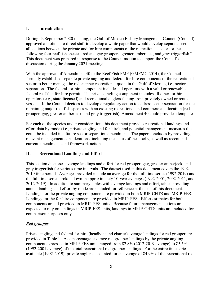#### **I. Introduction**

During its September 2020 meeting, the Gulf of Mexico Fishery Management Council (Council) approved a motion "to direct staff to develop a white paper that would develop separate sector allocations between the private and for-hire components of the recreational sector for the following four reef fish species: red and gag groupers, greater amberjack, and gray triggerfish." This document was prepared in response to the Council motion to support the Council's discussion during the January 2021 meeting.

With the approval of Amendment 40 to the Reef Fish FMP (GMFMC 2014), the Council formally established separate private angling and federal for-hire components of the recreational sector to better manage the red snapper recreational quota in the Gulf of Mexico, i.e., sector separation. The federal for-hire component includes all operators with a valid or renewable federal reef fish for-hire permit. The private angling component includes all other for-hire operators (e.g., state-licensed) and recreational anglers fishing from privately owned or rented vessels. If the Council decides to develop a regulatory action to address sector separation for the remaining major reef fish species with an existing recreational and commercial allocation (red grouper, gag, greater amberjack, and gray triggerfish), Amendment 40 could provide a template.

For each of the species under consideration, this document provides recreational landings and effort data by mode (i.e., private angling and for-hire), and potential management measures that could be included in a future sector separation amendment. The paper concludes by providing relevant management considerations, including the status of the stocks, as well as recent and current amendments and framework actions.

## **II. Recreational Landings and Effort**

This section discusses average landings and effort for red grouper, gag, greater amberjack, and gray triggerfish for various time intervals. The dataset used in this document covers the 1992- 2019 time period. Averages provided include an average for the full time series (1992-2019) and the full time series broken down in approximately 10-year averages (1992-2001, 2002-2011, and 2012-2019). In addition to summary tables with average landings and effort, tables providing annual landings and effort by mode are included for reference at the end of this document. Landings for the private angling component are provided in both MRIP-CHTS and MRIP-FES. Landings for the for-hire component are provided in MRIP-FES. Effort estimates for both components are all provided in MRIP-FES units. Because future management actions are expected to rely on landings in MRIP-FES units, landings in MRIP-CHTS units are included for comparison purposes only.

## *Red grouper*

Private angling and federal for-hire (headboat and charter) average landings for red grouper are provided in Table 1. As a percentage, average red grouper landings by the private angling component expressed in MRIP-FES units ranged from 82.8% (2012-2019 average) to 85.5% (1992-2001 average) of the total recreational red grouper landings. For the entire time series available (1992-2019), private anglers accounted for an average of 84.9% of the recreational red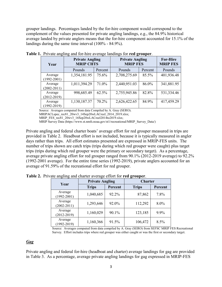grouper landings. Percentages landed by the for-hire component would correspond to the complement of the values presented for private angling landings, e.g., the 84.9% historical average landed by private anglers means that the for-hire component accounted for 15.1% of the landings during the same time interval (100% - 84.9%).

| Year                       | <b>Private Angling</b><br><b>MRIP CHTS</b> |         | <b>Private Angling</b><br><b>MRIP FES</b> | <b>For-Hire</b><br><b>MRIP FES</b> |            |
|----------------------------|--------------------------------------------|---------|-------------------------------------------|------------------------------------|------------|
|                            | Pounds                                     | Percent | Pounds                                    | Percent                            | Pounds     |
| Average<br>$(1992 - 2001)$ | 1,354,181.95                               | 75.6%   | 2,708,275.69                              | 85.5%                              | 401,936.48 |
| Average<br>$(2002 - 2011)$ | 1,011,394.29                               | 71.0%   | 2,440,951.03                              | 86.0%                              | 341,881.95 |
| Average<br>$(2012 - 2019)$ | 998,685.49                                 | 62.5%   | 2,755,945.86                              | 82.8%                              | 531,334.46 |
| Average<br>$(1992 - 2019)$ | 1,130,187.37                               | 70.2%   | 2,626,422.65                              | 84.9%                              | 417,459.29 |

**Table 1.** Private angling and for-hire average landings for **red grouper**.

Source: Averages computed from data Compiled by A. Gray (SERO).

MRIPACLspec\_rec81\_20wv3\_14Sep20wLACreel\_2014\_2019.xlsx;

MRIP\_FES\_rec81\_20wv3\_16Sep20wLACreel2014to2019.xlsx;

MRIP Survey Data (https://www.st.nmfs.noaa.gov/st1/recreational/MRIP\_Survey\_Data/)

Private angling and federal charter boats' average effort for red grouper measured in trips are provided in Table 2. Headboat effort is not included, because it is typically measured in angler days rather than trips. All effort estimates presented are expressed in MRIP-FES units. The number of trips shown are catch trips (trips during which red grouper were caught) plus target trips (trips during which red grouper were the primary or secondary target). As a percentage, average private angling effort for red grouper ranged from 90.1% (2012-2019 average) to 92.2% (1992-2001 average). For the entire time series (1992-2019), private anglers accounted for an average of 91.59% of the recreational effort for red grouper.

| Year                       | <b>Private Angling</b> |         | <b>Charter</b> |         |  |
|----------------------------|------------------------|---------|----------------|---------|--|
|                            | <b>Trips</b>           | Percent | <b>Trips</b>   | Percent |  |
| Average<br>$(1992 - 2001)$ | 1,040,685              | 92.2%   | 87,862         | 7.8%    |  |
| Average<br>$(2002 - 2011)$ | 1,293,646              | 92.0%   | 112,292        | 8.0%    |  |
| Average<br>$(2012 - 2019)$ | 1,160,029              | 90.1%   | 123,185        | 9.9%    |  |
| Average<br>$(1992 - 2019)$ | 1,160,366              | 91.5%   | 106,472        | 8.5%    |  |

**Table 2.** Private angling and charter average effort for **red grouper**.

Source: Averages computed from data compiled by A. Gray (SERO) from SEFSC MRIP FES Recreational Survey. Effort includes trips where red grouper was either caught or was the first or secondary target.

#### *Gag*

Private angling and federal for-hire (headboat and charter) average landings for gag are provided in Table 3. As a percentage, average private angling landings for gag expressed in MRIP-FES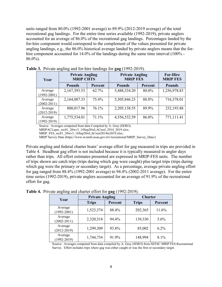units ranged from 80.0% (1992-2001 average) to 89.9% (2012-2019 average) of the total recreational gag landings. For the entire time series available (1992-2019), private anglers accounted for an average of 86.0% of the recreational gag landings. Percentages landed by the for-hire component would correspond to the complement of the values presented for private angling landings, e.g., the 86.0% historical average landed by private anglers means that the forhire component accounted for 14.0% of the landings during the same time interval (100% - 86.0%).

| Year                       | <b>Private Angling</b><br><b>MRIP CHTS</b> |         | <b>Private Angling</b><br><b>MRIP FES</b> | <b>For-Hire</b><br><b>MRIP FES</b> |               |
|----------------------------|--------------------------------------------|---------|-------------------------------------------|------------------------------------|---------------|
|                            | <b>Pounds</b>                              | Percent | <b>Pounds</b>                             | Percent                            | <b>Pounds</b> |
| Average<br>$(1992 - 2001)$ | 2,167,393.53                               | 62.7%   | 5,488,334.20                              | 80.0%                              | 1,256,978.83  |
| Average<br>$(2002 - 2011)$ | 2,164,087.33                               | 75.4%   | 5,505,846.23                              | 88.8%                              | 716,378.01    |
| Average<br>$(2012 - 2019)$ | 800,017.96                                 | 76.1%   | 2,205,138.55                              | 89.9%                              | 232,193.88    |
| Average<br>$(1992 - 2019)$ | 1,775,534.01                               | 71.1%   | 4,556,532.59                              | 86.0%                              | 771,111.41    |

**Table 3.** Private angling and for-hire landings for **gag** (1992-2019).

Source: Averages computed from data Compiled by A. Gray (SERO).

MRIPACLspec\_rec81\_20wv3\_14Sep20wLACreel\_2014\_2019.xlsx;

MRIP\_FES\_rec81\_20wv3\_16Sep20wLACreel2014to2019.xlsx;

MRIP Survey Data (https://www.st.nmfs.noaa.gov/st1/recreational/MRIP\_Survey\_Data/)

Private angling and federal charter boats' average effort for gag measured in trips are provided in Table 4. Headboat gag effort is not included because it is typically measured in angler days rather than trips. All effort estimates presented are expressed in MRIP-FES units. The number of trips shown are catch trips (trips during which gag were caught) plus target trips (trips during which gag were the primary or secondary target). As a percentage, average private angling effort for gag ranged from 88.4% (1992-2001 average) to 94.4% (2002-2011 average). For the entire time series (1992-2019), private anglers accounted for an average of 91.9% of the recreational effort for gag.

| Year                       | <b>Private Angling</b> |         | <b>Charter</b> |         |  |
|----------------------------|------------------------|---------|----------------|---------|--|
|                            | <b>Trips</b>           | Percent | <b>Trips</b>   | Percent |  |
| Average<br>$(1992 - 2001)$ | 1,523,374              | 88.4%   | 202,365        | 11.6%   |  |
| Average<br>$(2002 - 2011)$ | 2,320,518              | 94.4%   | 139,330        | 5.6%    |  |
| Average<br>$(2012 - 2019)$ | 1,299,309              | 93.8%   | 85,002         | $6.2\%$ |  |
| Average<br>$(1992 - 2019)$ | 1,744,734              | 91.9%   | 148,994        | 8.1%    |  |

**Table 4.** Private angling and charter effort for **gag** (1992-2019).

Source: Averages computed from data compiled by A. Gray (SERO) from SEFSC MRIP FES Recreational Survey. Effort includes trips where gag was either caught or was the first or secondary target.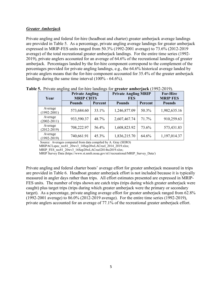#### *Greater Amberjack*

Private angling and federal for-hire (headboat and charter) greater amberjack average landings are provided in Table 5. As a percentage, private angling average landings for greater amberjack expressed in MRIP-FES units ranged from 50.3% (1992-2001 average) to 73.6% (2012-2019 average) of the total recreational greater amberjack landings. For the entire time series (1992- 2019), private anglers accounted for an average of 64.6% of the recreational landings of greater amberjack. Percentages landed by the for-hire component correspond to the complement of the percentages provided for private angling landings, e.g., the 64.6% historical average landed by private anglers means that the for-hire component accounted for 35.4% of the greater amberjack landings during the same time interval (100% - 64.6%).

| Year                       | <b>Private Angling</b><br><b>MRIP CHTS</b> |         | <b>Private Angling MRIP</b><br><b>FES</b> | <b>For-Hire</b><br><b>MRIP FES</b> |               |
|----------------------------|--------------------------------------------|---------|-------------------------------------------|------------------------------------|---------------|
|                            | <b>Pounds</b>                              | Percent | <b>Pounds</b>                             | Percent                            | <b>Pounds</b> |
| Average<br>$(1992 - 2001)$ | 573,684.60                                 | 33.1%   | 1,246,877.09                              | 50.3%                              | 1,982,635.16  |
| Average<br>$(2002 - 2011)$ | 933,590.37                                 | 48.7%   | 2,607,467.74                              | 71.7%                              | 910,259.63    |
| Average<br>$(2012 - 2019)$ | 708,222.97                                 | 56.4%   | 1,608,823.92                              | 73.6%                              | 573,431.83    |
| Average<br>$(1992 - 2019)$ | 740,661.91                                 | 45.3%   | 1,836,215.70                              | 64.6%                              | 1,197,014.37  |

**Table 5.** Private angling and for-hire landings for **greater amberjack** (1992-2019).

Source: Averages computed from data compiled by A. Gray (SERO)

MRIPACLspec\_rec81\_20wv3\_14Sep20wLACreel\_2014\_2019.xlsx;

MRIP\_FES\_rec81\_20wv3\_16Sep20wLACreel2014to2019.xlsx;

MRIP Survey Data (https://www.st.nmfs.noaa.gov/st1/recreational/MRIP\_Survey\_Data/)

Private angling and federal charter boats' average effort for greater amberjack measured in trips are provided in Table 6. Headboat greater amberjack effort is not included because it is typically measured in angler days rather than trips. All effort estimates presented are expressed in MRIP-FES units. The number of trips shown are catch trips (trips during which greater amberjack were caught) plus target trips (trips during which greater amberjack were the primary or secondary target). As a percentage, private angling average effort for greater amberjack ranged from 62.8% (1992-2001 average) to 86.0% (2012-2019 average). For the entire time series (1992-2019), private anglers accounted for an average of 77.1% of the recreational greater amberjack effort.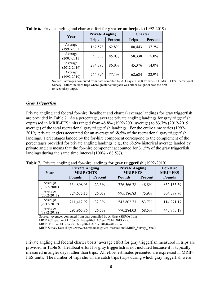| Year                       | <b>Private Angling</b> |         | <b>Charter</b> |         |  |
|----------------------------|------------------------|---------|----------------|---------|--|
|                            | <b>Trips</b>           | Percent | <b>Trips</b>   | Percent |  |
| Average<br>$(1992 - 2001)$ | 167,578                | 62.8%   | 80,443         | 37.2%   |  |
| Average<br>$(2002 - 2011)$ | 353,838                | 85.0%   | 58,338         | 15.0%   |  |
| Average<br>$(2012 - 2019)$ | 284,795                | 86.0%   | 45,376         | 14.0%   |  |
| Average<br>$(1992 - 2019)$ | 264,396                | 77.1%   | 62,684         | 22.9%   |  |

**Table 6.** Private angling and charter effort for **greater amberjack** (1992-2019).

Source: Averages computed from data compiled by A. Gray (SERO) from SEFSC MRIP FES Recreational Survey. Effort includes trips where greater amberjack was either caught or was the first or secondary target.

#### *Gray Triggerfish*

Private angling and federal for-hire (headboat and charter) average landings for gray triggerfish are provided in Table 7. As a percentage, average private angling landings for gray triggerfish expressed in MRIP-FES units ranged from 48.8% (1992-2001 average) to 83.7% (2012-2019 average) of the total recreational gray triggerfish landings. For the entire time series (1992- 2019), private anglers accounted for an average of 68.5% of the recreational gray triggerfish landings. Percentages landed by the for-hire component correspond to the complement of the percentages provided for private angling landings, e.g., the 68.5% historical average landed by private anglers means that the for-hire component accounted for 31.5% of the gray triggerfish landings during the same time interval (100% - 68.5%).

| Year                       | <b>Private Angling</b><br><b>MRIP CHTS</b> |         | <b>Private Angling</b><br><b>MRIP FES</b> | <b>For-Hire</b><br><b>MRIP FES</b> |               |
|----------------------------|--------------------------------------------|---------|-------------------------------------------|------------------------------------|---------------|
|                            | <b>Pounds</b>                              | Percent | <b>Pounds</b>                             | Percent                            | <b>Pounds</b> |
| Average<br>$(1992 - 2001)$ | 334,898.93                                 | 22.3%   | 726,566.28                                | 48.8%                              | 852,135.59    |
| Average<br>$(2002 - 2011)$ | 324,675.15                                 | 26.0%   | 995,186.83                                | 75.9%                              | 304,589.96    |
| Average<br>$(2012 - 2019)$ | 211,412.92                                 | 32.3%   | 543,802.73                                | 83.7%                              | 114,271.17    |
| Average<br>$(1992 - 2019)$ | 295,965.86                                 | 26.5%   | 770,284.03                                | 68.5%                              | 445,765.17    |

**Table 7.** Private angling and for-hire landings for **gray triggerfish** (1992-2019).

Source: Averages computed from data compiled by A. Gray (SERO) from

MRIP Survey Data (https://www.st.nmfs.noaa.gov/st1/recreational/MRIP\_Survey\_Data/)

Private angling and federal charter boats' average effort for gray triggerfish measured in trips are provided in Table 8. Headboat effort for gray triggerfish is not included because it is typically measured in angler days rather than trips. All effort estimates presented are expressed in MRIP-FES units. The number of trips shown are catch trips (trips during which gray triggerfish were

MRIPACLspec\_rec81\_20wv3\_14Sep20wLACreel\_2014\_2019.xlsx;

MRIP\_FES\_rec81\_20wv3\_16Sep20wLACreel2014to2019.xlsx;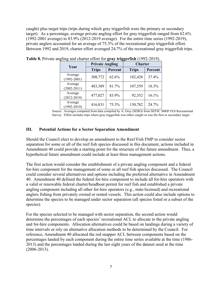caught) plus target trips (trips during which gray triggerfish were the primary or secondary target). As a percentage, average private angling effort for gray triggerfish ranged from 62.6% (1992-2001 average) to 83.9% (2012-2019 average). For the entire time series (1992-2019), private anglers accounted for an average of 75.3% of the recreational gray triggerfish effort. Between 1992 and 2019, charter effort averaged 24.7% of the recreational gray triggerfish trips.

|                            | <b>Private Angling</b> |         | <b>Charter</b> |         |  |
|----------------------------|------------------------|---------|----------------|---------|--|
| Year                       | <b>Trips</b>           | Percent | <b>Trips</b>   | Percent |  |
| Average<br>$(1992 - 2001)$ | 308,772                | 62.6%   | 182,428        | 37.4%   |  |
| Average<br>$(2002 - 2011)$ | 483,389                | 81.7%   | 107,559        | 18.3%   |  |
| Average<br>$(2012 - 2019)$ | 477,027                | 83.9%   | 92,352         | 16.1%   |  |
| Average<br>$(1992 - 2019)$ | 416,831                | 75.3%   | 130,782        | 24.7%   |  |

**Table 8.** Private angling and charter effort for **gray triggerfish** (1992-2019).

Source: Averages computed from data compiled by A. Gray (SERO) from SEFSC MRIP FES Recreational Survey. Effort includes trips where gray triggerfish was either caught or was the first or secondary target.

#### **III. Potential Actions for a Sector Separation Amendment**

Should the Council elect to develop an amendment to the Reef Fish FMP to consider sector separation for some or all of the reef fish species discussed in this document, actions included in Amendment 40 could provide a starting point for the structure of the future amendment. Thus, a hypothetical future amendment could include at least three management actions.

The first action would consider the establishment of a private angling component and a federal for-hire component for the management of some or all reef fish species discussed. The Council could consider several alternatives and options including the preferred alternative in Amendment 40. Amendment 40 defined the federal for-hire component to include all for-hire operators with a valid or renewable federal charter/headboat permit for reef fish and established a private angling component including all other for-hire operators (e.g., state-licensed) and recreational anglers fishing from privately owned or rented vessels. This action could also include options to determine the species to be managed under sector separation (all species listed or a subset of the species).

For the species selected to be managed with sector separation, the second action would determine the percentages of each species' recreational ACL to allocate to the private angling and for-hire components. Allocation alternatives could be based on landings during a variety of time intervals or rely on alternative allocation methods to be determined by the Council. For reference, Amendment 40 allocated the red snapper ACL between components based on the percentages landed by each component during the entire time series available at the time (1986- 2013) and the percentages landed during the last eight years of the dataset used at the time (2006-2013).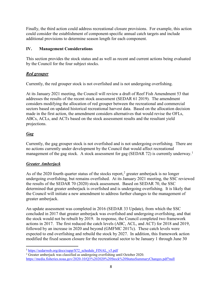Finally, the third action could address recreational closure provisions. For example, this action could consider the establishment of component-specific annual catch targets and include additional provisions to determine season length for each component.

#### **IV. Management Considerations**

This section provides the stock status and as well as recent and current actions being evaluated by the Council for the four subject stocks.

## *Red grouper*

Currently, the red grouper stock is not overfished and is not undergoing overfishing.

At its January 2021 meeting, the Council will review a draft of Reef Fish Amendment 53 that addresses the results of the recent stock assessment (SEDAR 61 2019). The amendment considers modifying the allocation of red grouper between the recreational and commercial sectors based on updated historical recreational harvest data. Based on the allocation decision made in the first action, the amendment considers alternatives that would revise the OFLs, ABCs, ACLs, and ACTs based on the stock assessment results and the resultant yield projections.

# *Gag*

Currently, the gag grouper stock is not overfished and is not undergoing overfishing. There are no actions currently under development by the Council that would affect recreational management of the gag stock. A stock assessment for gag (SEDAR 72) is currently underway.<sup>[1](#page-7-0)</sup>

## *Greater Amberjack*

As of the [2](#page-7-1)020 fourth quarter status of the stocks report,<sup>2</sup> greater amberjack is no longer undergoing overfishing, but remains overfished. At its January 2021 meeting, the SSC reviewed the results of the SEDAR 70 (2020) stock assessment. Based on SEDAR 70, the SSC determined that greater amberjack is overfished and is undergoing overfishing. It is likely that the Council will initiate a new amendment to address further changes to the management of greater amberjack.

An update assessment was completed in 2016 (SEDAR 33 Update), from which the SSC concluded in 2017 that greater amberjack was overfished and undergoing overfishing, and that the stock would not be rebuilt by 2019. In response, the Council completed two framework actions in 2017. The first reduced the catch levels (ABC, ACL, and ACT) for 2018 and 2019, followed by an increase in 2020 and beyond (GMFMC 2017c). These catch levels were expected to end overfishing and rebuild the stock by 2027. In addition, this framework action modified the fixed season closure for the recreational sector to be January 1 through June 30

<span id="page-7-0"></span><sup>&</sup>lt;sup>1</sup> [https://sedarweb.org/docs/supp/S72\\_schedule\\_FINAL\\_v5.pdf](https://sedarweb.org/docs/supp/S72_schedule_FINAL_v5.pdf)

<span id="page-7-1"></span><sup>&</sup>lt;sup>2</sup> Greater amberjack was classified as undergoing overfishing until October 2020. <https://media.fisheries.noaa.gov/2020-10/Q3%202020%20Stock%20StatusSummaryChanges.pdf?null>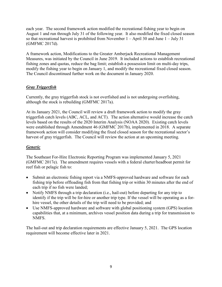each year. The second framework action modified the recreational fishing year to begin on August 1 and run through July 31 of the following year. It also modified the fixed closed season so that recreational harvest is prohibited from November  $1 -$ April 30 and June  $1 -$  July 31 (GMFMC 2017d).

A framework action, Modifications to the Greater Amberjack Recreational Management Measures, was initiated by the Council in June 2019. It included actions to establish recreational fishing zones and quotas, reduce the bag limit; establish a possession limit on multi-day trips, modify the fishing year to begin on January 1, and modify the recreational fixed closed season. The Council discontinued further work on the document in January 2020.

#### *Gray Triggerfish*

Currently, the gray triggerfish stock is not overfished and is not undergoing overfishing, although the stock is rebuilding (GMFMC 2017a).

At its January 2021, the Council will review a draft framework action to modify the gray triggerfish catch levels (ABC, ACL, and ACT). The action alternative would increase the catch levels based on the results of the 2020 Interim Analysis (NOAA 2020). Existing catch levels were established through Amendment 46 (GMFMC 2017b), implemented in 2018. A separate framework action will consider modifying the fixed closed season for the recreational sector's harvest of gray triggerfish. The Council will review the action at an upcoming meeting.

## *Generic*

The Southeast For-Hire Electronic Reporting Program was implemented January 5, 2021 (GMFMC 2017e). The amendment requires vessels with a federal charter/headboat permit for reef fish or pelagic fish to:

- Submit an electronic fishing report via a NMFS-approved hardware and software for each fishing trip before offloading fish from that fishing trip or within 30 minutes after the end of each trip if no fish were landed;
- Notify NMFS through a trip declaration (i.e., hail-out) before departing for any trip to identify if the trip will be for-hire or another trip type. If the vessel will be operating as a forhire vessel, the other details of the trip will need to be provided; and
- Use NMFS-approved hardware and software with global positioning system (GPS) location capabilities that, at a minimum, archives vessel position data during a trip for transmission to NMFS.

The hail-out and trip declaration requirements are effective January 5, 2021. The GPS location requirement will become effective later in 2021.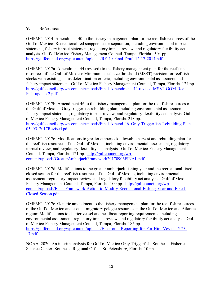#### **V. References**

GMFMC. 2014. Amendment 40 to the fishery management plan for the reef fish resources of the Gulf of Mexico: Recreational red snapper sector separation, including environmental impact statement, fishery impact statement, regulatory impact review, and regulatory flexibility act analysis. Gulf of Mexico Fishery Management Council. Tampa, Florida. 304 pp. <https://gulfcouncil.org/wp-content/uploads/RF-40-Final-Draft-12-17-2014.pdf>

GMFMC. 2017a. Amendment 44 (revised) to the fishery management plan for the reef fish resources of the Gulf of Mexico: Minimum stock size threshold (MSST) revision for reef fish stocks with existing status determination criteria, including environmental assessment and fishery impact statement. Gulf of Mexico Fishery Management Council, Tampa, Florida. 124 pp. [http://gulfcouncil.org/wp-content/uploads/Final-Amendment-44-revised-MSST-GOM-Reef-](http://gulfcouncil.org/wp-content/uploads/Final-Amendment-44-revised-MSST-GOM-Reef-Fish-update-2.pdf)[Fish-update-2.pdf](http://gulfcouncil.org/wp-content/uploads/Final-Amendment-44-revised-MSST-GOM-Reef-Fish-update-2.pdf)

GMFMC. 2017b. Amendment 46 to the fishery management plan for the reef fish resources of the Gulf of Mexico: Gray triggerfish rebuilding plan, including environmental assessment, fishery impact statement, regulatory impact review, and regulatory flexibility act analysis. Gulf of Mexico Fishery Management Council, Tampa, Florida. 218 pp. http://gulfcouncil.org/wp-content/uploads/Final-Amend-46 Gray-Triggerfish-Rebuilding-Plan -[05\\_05\\_2017Revised.pdf](http://gulfcouncil.org/wp-content/uploads/Final-Amend-46_Gray-Triggerfish-Rebuilding-Plan_-05_05_2017Revised.pdf)

GMFMC. 2017c. Modifications to greater amberjack allowable harvest and rebuilding plan for the reef fish resources of the Gulf of Mexico, including environmental assessment, regulatory impact review, and regulatory flexibility act analysis. Gulf of Mexico Fishery Management Council. Tampa, Florida. 121 pp. [http://gulfcouncil.org/wp](http://gulfcouncil.org/wp-content/uploads/GreaterAmberjackFramework20170906FINAL.pdf)[content/uploads/GreaterAmberjackFramework20170906FINAL.pdf](http://gulfcouncil.org/wp-content/uploads/GreaterAmberjackFramework20170906FINAL.pdf)

GMFMC. 2017d. Modifications to the greater amberjack fishing year and the recreational fixed closed season for the reef fish resources of the Gulf of Mexico, including environmental assessment, regulatory impact review, and regulatory flexibility act analysis. Gulf of Mexico Fishery Management Council. Tampa, Florida. 100 pp. [http://gulfcouncil.org/wp](http://gulfcouncil.org/wp-content/uploads/Final-Framework-Action-to-Modify-Recreational-Fishing-Year-and-Fixed-Closed-Season.pdf)[content/uploads/Final-Framework-Action-to-Modify-Recreational-Fishing-Year-and-Fixed-](http://gulfcouncil.org/wp-content/uploads/Final-Framework-Action-to-Modify-Recreational-Fishing-Year-and-Fixed-Closed-Season.pdf)[Closed-Season.pdf](http://gulfcouncil.org/wp-content/uploads/Final-Framework-Action-to-Modify-Recreational-Fishing-Year-and-Fixed-Closed-Season.pdf)

GMFMC. 2017e. Generic amendment to the fishery management plan for the reef fish resources of the Gulf of Mexico and coastal migratory pelagic resources in the Gulf of Mexico and Atlantic region: Modifications to charter vessel and headboat reporting requirements, including environmental assessment, regulatory impact review, and regulatory flexibility act analysis. Gulf of Mexico Fishery Management Council, Tampa, Florida. 185 pp. [https://gulfcouncil.org/wp-content/uploads/Electronic-Reporting-for-For-Hire-Vessels-5-23-](https://gulfcouncil.org/wp-content/uploads/Electronic-Reporting-for-For-Hire-Vessels-5-23-17.pdf) [17.pdf](https://gulfcouncil.org/wp-content/uploads/Electronic-Reporting-for-For-Hire-Vessels-5-23-17.pdf)

NOAA. 2020. An interim analysis for Gulf of Mexico Gray Triggerfish. Southeast Fisheries Science Center; Southeast Regional Office. St. Petersburg, Florida. 10 pp.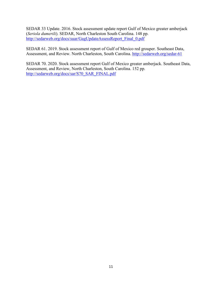SEDAR 33 Update. 2016. Stock assessment update report Gulf of Mexico greater amberjack (*Seriola dumerili*). SEDAR, North Charleston South Carolina. 148 pp. [http://sedarweb.org/docs/suar/GagUpdateAssessReport\\_Final\\_0.pdf](http://sedarweb.org/docs/suar/GagUpdateAssessReport_Final_0.pdf)

SEDAR 61. 2019. Stock assessment report of Gulf of Mexico red grouper. Southeast Data, Assessment, and Review. North Charleston, South Carolina.<http://sedarweb.org/sedar-61>

SEDAR 70. 2020. Stock assessment report Gulf of Mexico greater amberjack. Southeast Data, Assessment, and Review, North Charleston, South Carolina. 152 pp. [http://sedarweb.org/docs/sar/S70\\_SAR\\_FINAL.pdf](http://sedarweb.org/docs/sar/S70_SAR_FINAL.pdf)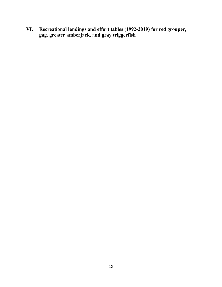**VI. Recreational landings and effort tables (1992-2019) for red grouper, gag, greater amberjack, and gray triggerfish**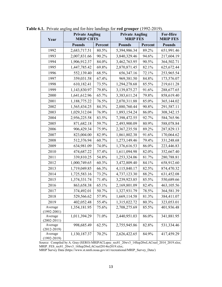| Year                       | <b>Private Angling</b><br><b>MRIP CHTS</b> |         | <b>Private Angling</b><br><b>MRIP FES</b> | <b>For-Hire</b><br><b>MRIP FES</b> |               |
|----------------------------|--------------------------------------------|---------|-------------------------------------------|------------------------------------|---------------|
|                            | <b>Pounds</b>                              | Percent | <b>Pounds</b>                             | Percent                            | <b>Pounds</b> |
| 1992                       | 2,683,717.51                               | 80.5%   | 5,394,986.34                              | 89.2%                              | 651,991.46    |
| 1993                       | 2,007,831.66                               | 90.2%   | 3,840,329.46                              | 94.6%                              | 217,604.19    |
| 1994                       | 1,906,912.37                               | 84.0%   | 3,462,763.95                              | 90.5%                              | 364,502.71    |
| 1995                       | 1,447,785.42                               | 69.8%   | 2,870,871.45                              | 82.1%                              | 625, 672. 44  |
| 1996                       | 552,139.40                                 | 68.5%   | 656,347.16                                | 72.1%                              | 253,965.54    |
| 1997                       | 359,031.58                                 | 67.4%   | 969,381.50                                | 84.8%                              | 173,576.07    |
| 1998                       | 610,182.41                                 | 73.5%   | 1,294,278.68                              | 85.5%                              | 219,611.28    |
| 1999                       | 1,143,830.97                               | 79.8%   | 3,139,875.27                              | 91.6%                              | 288,677.65    |
| 2000                       | 1,641,612.96                               | 65.7%   | 3,383,611.24                              | 79.8%                              | 858,619.40    |
| 2001                       | 1,188,775.22                               | 76.5%   | 2,070,311.88                              | 85.0%                              | 365,144.02    |
| 2002                       | 1,565,434.25                               | 84.3%   | 2,880,760.44                              | 90.8%                              | 291,587.11    |
| 2003                       | 1,029,312.04                               | 76.9%   | 1,893,154.24                              | 86.0%                              | 308, 342. 15  |
| 2004                       | 2,956,225.58                               | 83.5%   | 7,398,472.55                              | 92.7%                              | 584,765.96    |
| 2005                       | 871,682.18                                 | 59.7%   | 2,493,900.09                              | 80.9%                              | 588,078.84    |
| 2006                       | 906,429.34                                 | 75.9%   | 2,367,235.58                              | 89.2%                              | 287,829.13    |
| 2007                       | 823,004.00                                 | 82.9%   | 1,861,802.38                              | 91.6%                              | 170,064.62    |
| 2008                       | 512,376.94                                 | 60.7%   | 1,273,149.46                              | 79.4%                              | 331,248.68    |
| 2009                       | 634,981.09                                 | 74.0%   | 1,376,616.53                              | 86.0%                              | 223,446.83    |
| 2010                       | 474,687.22                                 | 57.4%   | 1,611,094.98                              | 82.0%                              | 352,667.40    |
| 2011                       | 339,810.25                                 | 54.8%   | 1,253,324.06                              | 81.7%                              | 280,788.81    |
| 2012                       | 1,000,749.65                               | 60.3%   | 3,472,809.40                              | 84.1%                              | 658,912.60    |
| 2013                       | 1,719,049.85                               | 66.3%   | 4,115,840.17                              | 82.5%                              | 874,470.32    |
| 2014                       | 1,725,583.16                               | 73.2%   | 4,737,123.30                              | 88.2%                              | 631,452.08    |
| 2015                       | 1,374,331.74                               | 71.4%   | 3,239,923.85                              | 85.5%                              | 550,689.66    |
| 2016                       | 863,658.38                                 | 65.1%   | 2,169,801.09                              | 82.4%                              | 463,105.56    |
| 2017                       | 374,492.01                                 | 50.7%   | 1,327,931.79                              | 78.5%                              | 364,581.39    |
| 2018                       | 529,566.62                                 | 57.9%   | 1,669,114.58                              | 81.3%                              | 384,411.07    |
| 2019                       | 402,052.48                                 | 55.4%   | 1,315,022.72                              | 80.3%                              | 323,053.01    |
| Average<br>$(1992 - 2001)$ | 1,354,181.95                               | 75.6%   | 2,708,275.69                              | 85.5%                              | 401,936.48    |
| Average<br>$(2002 - 2011)$ | 1,011,394.29                               | 71.0%   | 2,440,951.03                              | 86.0%                              | 341,881.95    |
| Average<br>$(2012 - 2019)$ | 998,685.49                                 | 62.5%   | 2,755,945.86                              | 82.8%                              | 531,334.46    |
| Average<br>$(1992 - 2019)$ | 1,130,187.37                               | 70.2%   | 2,626,422.65                              | 84.9%                              | 417,459.29    |

**Table 6.1.** Private angling and for-hire landings for **red grouper** (1992-2019).

Source: Compiled by A. Gray (SERO) MRIPACLspec\_rec81\_20wv3\_14Sep20wLACreel\_2014\_2019.xlsx; MRIP\_FES\_rec81\_20wv3\_16Sep20wLACreel2014to2019.xlsx;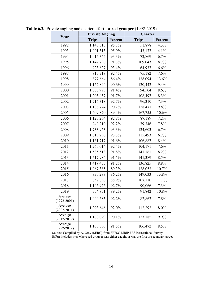|                            | <b>Private Angling</b> |         | <b>Charter</b> |         |  |
|----------------------------|------------------------|---------|----------------|---------|--|
| Year                       | <b>Trips</b>           | Percent | <b>Trips</b>   | Percent |  |
| 1992                       | 1,148,513              | 95.7%   | 51,878         | 4.3%    |  |
| 1993                       | 1,001,313              | 95.9%   | 43,177         | 4.1%    |  |
| 1994                       | 1,015,365              | 93.3%   | 72,869         | 6.7%    |  |
| 1995                       | 1,147,790              | 91.3%   | 109,043        | 8.7%    |  |
| 1996                       | 923,627                | 93.4%   | 64,937         | 6.6%    |  |
| 1997                       | 917,319                | 92.4%   | 75,182         | 7.6%    |  |
| 1998                       | 877,664                | 86.4%   | 138,094        | 13.6%   |  |
| 1999                       | 1,162,844              | 90.6%   | 120,442        | 9.4%    |  |
| 2000                       | 1,006,973              | 91.4%   | 94,504         | 8.6%    |  |
| 2001                       | 1,205,437              | 91.7%   | 108,497        | 8.3%    |  |
| 2002                       | 1,216,318              | 92.7%   | 96,310         | 7.3%    |  |
| 2003                       | 1,186,774              | 90.2%   | 128,477        | 9.8%    |  |
| 2005                       | 1,409,820              | 89.4%   | 167,755        | 10.6%   |  |
| 2006                       | 1,120,264              | 92.8%   | 87,189         | 7.2%    |  |
| 2007                       | 940,210                | 92.2%   | 79,746         | 7.8%    |  |
| 2008                       | 1,733,963              | 93.3%   | 124,603        | 6.7%    |  |
| 2009                       | 1,613,730              | 93.3%   | 115,493        | 6.7%    |  |
| 2010                       | 1,161,717              | 91.6%   | 106,887        | 8.4%    |  |
| 2011                       | 1,260,014              | 92.4%   | 104,171        | 7.6%    |  |
| 2012                       | 1,585,513              | 91.8%   | 141,161        | 8.2%    |  |
| 2013                       | 1,517,984              | 91.5%   | 141,389        | 8.5%    |  |
| 2014                       | 1,419,455              | 91.2%   | 136,825        | $8.8\%$ |  |
| 2015                       | 1,067,385              | 89.3%   | 128,053        | 10.7%   |  |
| 2016                       | 930,289                | 86.2%   | 149,033        | 13.8%   |  |
| 2017                       | 857,830                | 88.9%   | 107,110        | 11.1%   |  |
| 2018                       | 1,146,926              | 92.7%   | 90,066         | 7.3%    |  |
| 2019                       | 754,851                | 89.2%   | 91,842         | 10.8%   |  |
| Average<br>$(1992 - 2001)$ | 1,040,685              | 92.2%   | 87,862         | 7.8%    |  |
| Average<br>$(2002 - 2011)$ | 1,293,646              | 92.0%   | 112,292        | 8.0%    |  |
| Average<br>$(2012 - 2019)$ | 1,160,029              | 90.1%   | 123,185        | 9.9%    |  |
| Average<br>$(1992 - 2019)$ | 1,160,366              | 91.5%   | 106,472        | 8.5%    |  |

**Table 6.2.** Private angling and charter effort for **red grouper** (1992-2019).

Source: Compiled by A. Gray (SERO) from SEFSC MRIP FES Recreational Survey. Effort includes trips where red grouper was either caught or was the first or secondary target.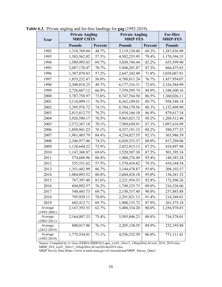| Year                       | <b>Private Angling</b><br><b>MRIP CHTS</b> |         | <b>Private Angling</b><br><b>MRIP FES</b> | <b>For-Hire</b><br><b>MRIP-FES</b> |               |
|----------------------------|--------------------------------------------|---------|-------------------------------------------|------------------------------------|---------------|
|                            | <b>Pounds</b>                              | Percent | <b>Pounds</b>                             | Percent                            | <b>Pounds</b> |
| 1992                       | 1,318,769.04                               | 48.7%   | 3,119,120.40                              | 69.2%                              | 1,387,836.90  |
| 1993                       | 1,583,562.02                               | 57.5%   | 4,502,255.95                              | 79.4%                              | 1,170,394.35  |
| 1994                       | 1,509,995.03                               | 69.7%   | 3,030,744.44                              | 82.2%                              | 655,599.90    |
| 1995                       | 2,087,170.47                               | 70.7%   | 5,948,201.87                              | 87.3%                              | 866,475.85    |
| 1996                       | 1,387,870.83                               | 57.2%   | 2,647,342.49                              | 71.8%                              | 1,038,067.81  |
| 1997                       | 1,855,232.47                               | 56.0%   | 4,788,811.24                              | 76.7%                              | 1,457,954.07  |
| 1998                       | 2,300,810.25                               | 49.7%   | 6,177,316.31                              | 72.6%                              | 2,326,584.99  |
| 1999                       | 2,726,667.12                               | 66.9%   | 7,559,595.74                              | 84.9%                              | 1,348,300.16  |
| 2000                       | 3,787,758.97                               | 73.6%   | 8,747,764.50                              | 86.5%                              | 1,360,026.11  |
| 2001                       | 3,116,099.11                               | 76.5%   | 8,362,189.01                              | 89.7%                              | 958,548.18    |
| 2002                       | 3,295,976.72                               | 74.1%   | 8,704,170.56                              | 88.3%                              | 1,152,498.90  |
| 2003                       | 2,815,812.73                               | 76.2%   | 5,854,166.10                              | 86.9%                              | 879,617.34    |
| 2004                       | 3,926,590.17                               | 76.5%   | 9,965,023.72                              | 89.2%                              | 1,209,512.40  |
| 2005                       | 2,572,387.18                               | 70.1%   | 7,569,650.91                              | 87.3%                              | 1,097,616.99  |
| 2006                       | 1,850,941.23                               | 76.1%   | 4,337,191.15                              | 88.2%                              | 580, 577.25   |
| 2007                       | 1,981,485.79                               | 84.4%   | 4,254,027.55                              | 92.1%                              | 365,986.59    |
| 2008                       | 2,346,977.46                               | 74.2%   | 6,020,533.37                              | 88.0%                              | 817,294.06    |
| 2009                       | 1,128,644.22                               | 72.9%   | 2,852,915.13                              | 87.2%                              | 418,897.98    |
| 2010                       | 1,147,368.87                               | 69.6%   | 3,520,507.30                              | 87.5%                              | 501,395.34    |
| 2011                       | 574,688.96                                 | 80.4%   | 1,980,276.49                              | 93.4%                              | 140,383.28    |
| 2012                       | 555,531.62                                 | 57.5%   | 1,570,434.82                              | 79.3%                              | 410,344.54    |
| 2013                       | 1,351,442.99                               | 86.7%   | 3,144,670.87                              | 93.8%                              | 208, 103.57   |
| 2014                       | 1,084,093.52                               | 88.8%   | 2,604,428.18                              | 95.0%                              | 136,241.52    |
| 2015                       | 767,397.40                                 | 81.6%   | 2,221,954.53                              | 92.8%                              | 172,506.26    |
| 2016                       | 694,892.57                                 | 76.2%   | 1,749,325.73                              | 89.0%                              | 216,526.06    |
| 2017                       | 548,443.73                                 | 69.7%   | 2,150,337.40                              | 90.0%                              | 237,885.88    |
| 2018                       | 795,929.11                                 | 78.8%   | 2,291,821.13                              | 91.4%                              | 214,368.01    |
| 2019                       | 602,412.71                                 | 69.7%   | 1,908,135.72                              | 87.9%                              | 261,575.18    |
| Average                    | 2,167,393.53                               | 62.7%   | 5,488,334.20                              | 80.0%                              | 1,256,978.83  |
| $(1992 - 2001)$<br>Average | 2,164,087.33                               | 75.4%   | 5,505,846.23                              | 88.8%                              | 716,378.01    |
| $(2002 - 2011)$            |                                            |         |                                           |                                    |               |
| Average                    | 800,017.96                                 | 76.1%   | 2,205,138.55                              | 89.9%                              | 232,193.88    |
| $(2012 - 2019)$            |                                            |         |                                           |                                    |               |
| Average<br>$(1992 - 2019)$ | 1,775,534.01                               | 71.1%   | 4,556,532.59                              | 86.0%                              | 771,111.41    |

**Table 6.3.** Private angling and for-hire landings for **gag** (1992-2019).

Source: Compiled by A. Gray (SERO) MRIPACLspec\_rec81\_20wv3\_14Sep20wLACreel\_2014\_2019.xlsx; MRIP\_FES\_rec81\_20wv3\_16Sep20wLACreel2014to2019.xlsx;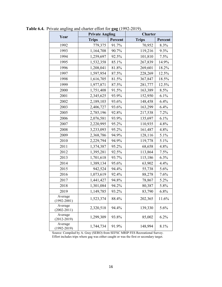|                            | <b>Private Angling</b> |         | <b>Charter</b> |         |  |
|----------------------------|------------------------|---------|----------------|---------|--|
| Year                       | <b>Trips</b>           | Percent | <b>Trips</b>   | Percent |  |
| 1992                       | 779,375                | 91.7%   | 70,952         | 8.3%    |  |
| 1993                       | 1,164,708              | 90.7%   | 119,216        | 9.3%    |  |
| 1994                       | 1,259,697              | 92.5%   | 101,810        | 7.5%    |  |
| 1995                       | 1,532,358              | 85.1%   | 267,839        | 14.9%   |  |
| 1996                       | 1,208,041              | 81.8%   | 269,601        | 18.2%   |  |
| 1997                       | 1,597,954              | 87.5%   | 228,269        | 12.5%   |  |
| 1998                       | 1,616,705              | 81.5%   | 367,847        | 18.5%   |  |
| 1999                       | 1,977,871              | 87.5%   | 281,777        | 12.5%   |  |
| 2000                       | 1,751,408              | 91.5%   | 163,389        | 8.5%    |  |
| 2001                       | 2,345,625              | 93.9%   | 152,950        | 6.1%    |  |
| 2002                       | 2,189,103              | 93.6%   | 148,458        | 6.4%    |  |
| 2003                       | 2,406,727              | 93.6%   | 163,299        | 6.4%    |  |
| 2005                       | 2,785,196              | 92.8%   | 217,538        | 7.2%    |  |
| 2006                       | 2,076,581              | 93.9%   | 135,697        | 6.1%    |  |
| 2007                       | 2,220,995              | 95.2%   | 110,935        | 4.8%    |  |
| 2008                       | 3,233,093              | 95.2%   | 161,487        | 4.8%    |  |
| 2009                       | 2,368,786              | 94.9%   | 128,116        | 5.1%    |  |
| 2010                       | 2,229,794              | 94.9%   | 119,778        | 5.1%    |  |
| 2011                       | 1,374,387              | 95.2%   | 68,658         | 4.8%    |  |
| 2012                       | 1,395,281              | 92.5%   | 113,864        | 7.5%    |  |
| 2013                       | 1,701,618              | 93.7%   | 115,186        | 6.3%    |  |
| 2014                       | 1,389,134              | 95.6%   | 63,902         | 4.4%    |  |
| 2015                       | 942,524                | 94.4%   | 55,738         | 5.6%    |  |
| 2016                       | 1,073,619              | 92.4%   | 88,278         | 7.6%    |  |
| 2017                       | 1,441,427              | 94.8%   | 78,867         | 5.2%    |  |
| 2018                       | 1,301,084              | 94.2%   | 80,387         | 5.8%    |  |
| 2019                       | 1,149,785              | 93.2%   | 83,790         | 6.8%    |  |
| Average<br>$(1992 - 2001)$ | 1,523,374              | 88.4%   | 202,365        | 11.6%   |  |
| Average<br>$(2002 - 2011)$ | 2,320,518              | 94.4%   | 139,330        | 5.6%    |  |
| Average<br>$(2012 - 2019)$ | 1,299,309              | 93.8%   | 85,002         | 6.2%    |  |
| Average<br>$(1992 - 2019)$ | 1,744,734              | 91.9%   | 148,994        | 8.1%    |  |

**Table 6.4.** Private angling and charter effort for **gag** (1992-2019).

Source: Compiled by A. Gray (SERO) from SEFSC MRIP FES Recreational Survey. Effort includes trips where gag was either caught or was the first or secondary target.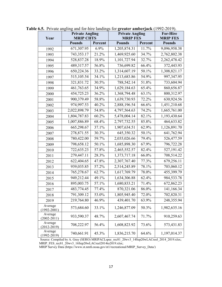| Year                       | <b>Private Angling</b><br><b>MRIP CHTS</b> |         | <b>Private Angling</b><br><b>MRIP FES</b> |         | <b>For-Hire</b><br><b>MRIP FES</b> |
|----------------------------|--------------------------------------------|---------|-------------------------------------------|---------|------------------------------------|
|                            | <b>Pounds</b>                              | Percent | <b>Pounds</b>                             | Percent | <b>Pounds</b>                      |
| 1992                       | 671,307.95                                 | 6.9%    | 1,205,874.31                              | 11.7%   | 9,096,958.38                       |
| 1993                       | 743,353.17                                 | 21.2%   | 1,469,925.60                              | 34.7%   | 2,762,802.38                       |
| 1994                       | 528,837.28                                 | 18.9%   | 1,101,727.94                              | 32.7%   | 2,262,478.42                       |
| 1995                       | 489,317.57                                 | 56.8%   | 736,699.82                                | 66.4%   | 372,443.93                         |
| 1996                       | 650,224.36                                 | 33.2%   | 1,314,607.19                              | 50.1%   | 1,308,821.17                       |
| 1997                       | 515,105.54                                 | 34.1%   | 1,213,683.86                              | 54.9%   | 997,347.95                         |
| 1998                       | 321,831.72                                 | 30.5%   | 788,542.14                                | 51.8%   | 733,604.94                         |
| 1999                       | 461,763.65                                 | 34.9%   | 1,629,184.63                              | 65.4%   | 860,656.87                         |
| 2000                       | 454,725.23                                 | 36.2%   | 1,368,794.48                              | 63.1%   | 800,312.97                         |
| 2001                       | 900,379.49                                 | 58.8%   | 1,639,730.93                              | 72.2%   | 630,924.56                         |
| 2002                       | 974,997.53                                 | 40.2%   | 2,888,196.54                              | 66.6%   | 1,451,210.68                       |
| 2003                       | 2,022,898.79                               | 54.8%   | 4,797,564.63                              | 74.2%   | 1,665,761.00                       |
| 2004                       | 1,804,787.83                               | 60.2%   | 5,478,004.14                              | 82.1%   | 1,193,430.64                       |
| 2005                       | 1,007,886.89                               | 68.4%   | 2,797,732.55                              | 85.8%   | 464,633.82                         |
| 2006                       | 665,298.67                                 | 37.1%   | 1,907,634.51                              | 62.9%   | 1,126,891.70                       |
| 2007                       | 278,871.55                                 | 30.3%   | 645,350.32                                | 50.1%   | 641,762.94                         |
| 2008                       | 780,422.00                                 | 59.7%   | 2,035,026.66                              | 79.4%   | 526,477.59                         |
| 2009                       | 798,658.12                                 | 50.1%   | 1,685,898.30                              | 67.9%   | 796,722.28                         |
| 2010                       | 722,635.23                                 | 57.8%   | 2,465,552.57                              | 82.4%   | 527,191.42                         |
| 2011                       | 279,447.11                                 | 28.3%   | 1,373,717.18                              | 66.0%   | 708,514.22                         |
| 2012                       | 622,404.65                                 | 47.8%   | 2,307,767.40                              | 77.3%   | 679,256.11                         |
| 2013                       | 939,035.85                                 | 57.2%   | 2,514,245.89                              | 78.1%   | 703,060.12                         |
| 2014                       | 765,278.67                                 | 62.7%   | 1,617,769.79                              | 78.0%   | 455,399.79                         |
| 2015                       | 949,212.44                                 | 49.1%   | 1,634,306.88                              | 62.4%   | 984,533.78                         |
| 2016                       | 895,003.75                                 | 57.1%   | 1,680,833.21                              | 71.4%   | 672,862.23                         |
| 2017                       | 483,774.45                                 | 77.4%   | 870,321.06                                | 86.0%   | 141,166.34                         |
| 2018                       | 791,309.12                                 | 53.0%   | 1,805,945.40                              | 72.0%   | 702,820.31                         |
| 2019                       | 219,764.80                                 | 46.9%   | 439,401.70                                | 63.9%   | 248,355.94                         |
| Average<br>$(1992 - 2001)$ | 573,684.60                                 | 33.1%   | 1,246,877.09                              | 50.3%   | 1,982,635.16                       |
| Average<br>$(2002 - 2011)$ | 933,590.37                                 | 48.7%   | 2,607,467.74                              | 71.7%   | 910,259.63                         |
| Average<br>$(2012 - 2019)$ | 708,222.97                                 | 56.4%   | 1,608,823.92                              | 73.6%   | 573,431.83                         |
| Average<br>$(1992 - 2019)$ | 740,661.91                                 | 45.3%   | 1,836,215.70                              | 64.6%   | 1,197,014.37                       |

**Table 6.5.** Private angling and for-hire landings for **greater amberjack** (1992-2019).

Source: Compiled by A. Gray (SERO) MRIPACLspec\_rec81\_20wv3\_14Sep20wLACreel\_2014\_2019.xlsx; MRIP\_FES\_rec81\_20wv3\_16Sep20wLACreel2014to2019.xlsx;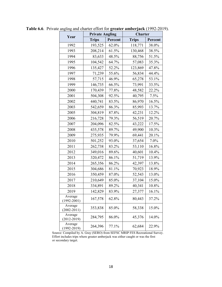|                            | <b>Private Angling</b> |         | Charter      |         |  |
|----------------------------|------------------------|---------|--------------|---------|--|
| Year                       | <b>Trips</b>           | Percent | <b>Trips</b> | Percent |  |
| 1992                       | 193,525                | 62.0%   | 118,771      | 38.0%   |  |
| 1993                       | 208,214                | 61.5%   | 130,468      | 38.5%   |  |
| 1994                       | 83,633                 | 48.5%   | 88,756       | 51.5%   |  |
| 1995                       | 104,542                | 64.7%   | 57,083       | 35.3%   |  |
| 1996                       | 135,427                | 52.2%   | 123,869      | 47.8%   |  |
| 1997                       | 71,239                 | 55.6%   | 56,834       | 44.4%   |  |
| 1998                       | 57,715                 | 46.9%   | 65,278       | 53.1%   |  |
| 1999                       | 146,735                | 66.5%   | 73,991       | 33.5%   |  |
| 2000                       | 170,439                | 77.8%   | 48,582       | 22.2%   |  |
| 2001                       | 504,308                | 92.5%   | 40,795       | 7.5%    |  |
| 2002                       | 440,741                | 83.5%   | 86,970       | 16.5%   |  |
| 2003                       | 542,659                | 86.3%   | 85,993       | 13.7%   |  |
| 2005                       | 304,819                | 87.8%   | 42,231       | 12.2%   |  |
| 2006                       | 216,728                | 79.3%   | 56,519       | 20.7%   |  |
| 2007                       | 204,096                | 82.5%   | 43,222       | 17.5%   |  |
| 2008                       | 435,578                | 89.7%   | 49,900       | 10.3%   |  |
| 2009                       | 275,935                | 79.9%   | 69,441       | 20.1%   |  |
| 2010                       | 501,252                | 93.0%   | 37,654       | 7.0%    |  |
| 2011                       | 262,738                | 83.2%   | 53,110       | 16.8%   |  |
| 2012                       | 349,016                | 89.6%   | 40,601       | 10.4%   |  |
| 2013                       | 320,472                | 86.1%   | 51,719       | 13.9%   |  |
| 2014                       | 265,356                | 86.2%   | 42,397       | 13.8%   |  |
| 2015                       | 304,686                | 81.1%   | 70,923       | 18.9%   |  |
| 2016                       | 350,459                | 87.0%   | 52,543       | 13.0%   |  |
| 2017                       | 210,649                | 85.0%   | 37,104       | 15.0%   |  |
| 2018                       | 334,891                | 89.2%   | 40,341       | 10.8%   |  |
| 2019                       | 142,829                | 83.9%   | 27,377       | 16.1%   |  |
| Average<br>$(1992 - 2001)$ | 167,578                | 62.8%   | 80,443       | 37.2%   |  |
| Average<br>$(2002 - 2011)$ | 353,838                | 85.0%   | 58,338       | 15.0%   |  |
| Average<br>$(2012 - 2019)$ | 284,795                | 86.0%   | 45,376       | 14.0%   |  |
| Average<br>$(1992 - 2019)$ | 264,396                | 77.1%   | 62,684       | 22.9%   |  |

**Table 6.6**. Private angling and charter effort for **greater amberjack** (1992-2019).

Source: Compiled by A. Gray (SERO) from SEFSC MRIP FES Recreational Survey. Effort includes trips where greater amberjack was either caught or was the first or secondary target.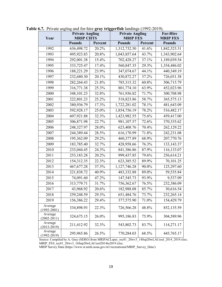| Year                       | <b>Private Angling</b><br><b>MRIP CHTS</b> |         | <b>Private Angling</b><br><b>MRIP FES</b> |         | <b>For-Hire</b><br><b>MRIP FES</b> |
|----------------------------|--------------------------------------------|---------|-------------------------------------------|---------|------------------------------------|
|                            | <b>Pounds</b>                              | Percent | <b>Pounds</b>                             | Percent | <b>Pounds</b>                      |
| 1992                       | 636,498.72                                 | 20.2%   | 1,312,732.50                              | 41.6%   | 1,842,523.31                       |
| 1993                       | 495,923.83                                 | 20.8%   | 1,043,857.64                              | 43.7%   | 1,343,902.64                       |
| 1994                       | 292,001.38                                 | 15.4%   | 702,428.27                                | 37.1%   | 1,189,039.54                       |
| 1995                       | 333,725.47                                 | 17.4%   | 560,847.35                                | 29.3%   | 1,354,486.02                       |
| 1996                       | 188,221.29                                 | 23.9%   | 347,074.67                                | 44.1%   | 440,349.19                         |
| 1997                       | 232,680.30                                 | 20.1%   | 430,872.27                                | 37.2%   | 726,031.38                         |
| 1998                       | 282,264.43                                 | 21.8%   | 785,315.32                                | 60.8%   | 506,715.79                         |
| 1999                       | 316,771.38                                 | 25.3%   | 801,774.10                                | 63.9%   | 452,023.96                         |
| 2000                       | 348,101.23                                 | 32.8%   | 761,936.82                                | 71.7%   | 300,708.98                         |
| 2001                       | 222,801.23                                 | 25.2%   | 518,823.86                                | 58.7%   | 365,575.13                         |
| 2002                       | 380,936.79                                 | 17.3%   | 1,722,281.02                              | 78.1%   | 481,643.09                         |
| 2003                       | 592,928.17                                 | 25.0%   | 1,854,756.19                              | 78.2%   | 516,482.17                         |
| 2004                       | 607,921.88                                 | 32.3%   | 1,423,982.55                              | 75.6%   | 459,417.00                         |
| 2005                       | 306,871.98                                 | 22.7%   | 981,107.57                                | 72.6%   | 370,335.62                         |
| 2006                       | 248,327.97                                 | 28.0%   | 623,408.76                                | 70.4%   | 262,129.22                         |
| 2007                       | 244,389.44                                 | 28.5%   | 616,170.99                                | 71.8%   | 242,231.08                         |
| 2008                       | 195,362.09                                 | 29.2%   | 460,377.89                                | 68.9%   | 207,770.76                         |
| 2009                       | 183,785.40                                 | 32.7%   | 428,958.66                                | 76.3%   | 133, 143. 37                       |
| 2010                       | 233,044.45                                 | 24.3%   | 841,386.86                                | 87.9%   | 116,133.07                         |
| 2011                       | 253,183.28                                 | 20.2%   | 999,437.85                                | 79.6%   | 256,614.21                         |
| 2012                       | 154,312.35                                 | 22.3%   | 623,385.52                                | 89.9%   | 70,101.25                          |
| 2013                       | 467, 677. 28                               | 37.3%   | 1,127,746.28                              | 90.0%   | 125,297.60                         |
| 2014                       | 221,838.72                                 | 40.9%   | 483,332.88                                | 89.0%   | 59,535.84                          |
| 2015                       | 74,091.60                                  | 47.2%   | 147,545.73                                | 93.9%   | 9,537.09                           |
| 2016                       | 313,779.71                                 | 31.7%   | 756,362.67                                | 76.5%   | 232,386.09                         |
| 2017                       | 43,968.92                                  | 20.6%   | 182,988.08                                | 85.7%   | 30,616.54                          |
| 2018                       | 259,248.59                                 | 29.3%   | 651,484.76                                | 73.7%   | 232,265.14                         |
| 2019                       | 156,386.22                                 | 29.4%   | 377,575.90                                | 71.0%   | 154,429.79                         |
| Average<br>$(1992 - 2001)$ | 334,898.93                                 | 22.3%   | 726,566.28                                | 48.8%   | 852,135.59                         |
| Average<br>$(2002 - 2011)$ | 324,675.15                                 | 26.0%   | 995,186.83                                | 75.9%   | 304,589.96                         |
| Average<br>$(2012 - 2019)$ | 211,412.92                                 | 32.3%   | 543,802.73                                | 83.7%   | 114,271.17                         |
| Average<br>$(1992 - 2019)$ | 295,965.86                                 | 26.5%   | 770,284.03                                | 68.5%   | 445,765.17                         |

**Table 6.7.** Private angling and for-hire **gray triggerfish** landings (1992-2019).

Source: Compiled by A. Gray (SERO) from MRIPACLspec\_rec81\_20wv3\_14Sep20wLACreel\_2014\_2019.xlsx; MRIP\_FES\_rec81\_20wv3\_16Sep20wLACreel2014to2019.xlsx;